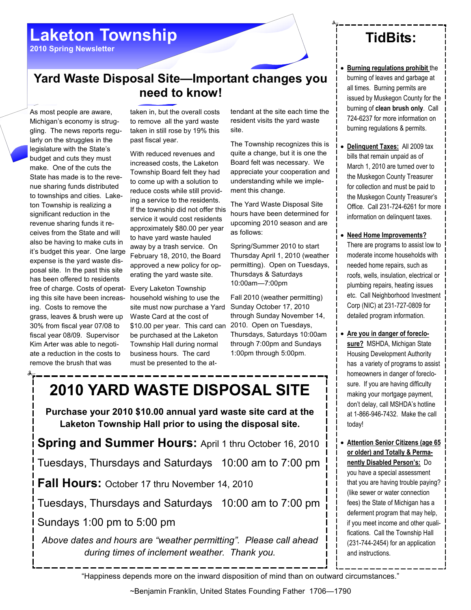## Laketon Township

2010 Spring Newsletter

#### Yard Waste Disposal Site—Important changes you need to know!

As most people are aware, Michigan's economy is struggling. The news reports regularly on the struggles in the legislature with the State's budget and cuts they must make. One of the cuts the State has made is to the revenue sharing funds distributed to townships and cities. Laketon Township is realizing a significant reduction in the revenue sharing funds it receives from the State and will also be having to make cuts in it's budget this year. One large expense is the yard waste disposal site. In the past this site has been offered to residents free of charge. Costs of operating this site have been increasing. Costs to remove the grass, leaves & brush were up 30% from fiscal year 07/08 to fiscal year 08/09. Supervisor Kim Arter was able to negotiate a reduction in the costs to remove the brush that was

taken in, but the overall costs to remove all the yard waste taken in still rose by 19% this past fiscal year.

With reduced revenues and increased costs, the Laketon Township Board felt they had to come up with a solution to reduce costs while still providing a service to the residents. If the township did not offer this service it would cost residents approximately \$80.00 per year to have yard waste hauled away by a trash service. On February 18, 2010, the Board approved a new policy for operating the yard waste site.

Every Laketon Township household wishing to use the site must now purchase a Yard Waste Card at the cost of \$10.00 per year. This card can be purchased at the Laketon Township Hall during normal business hours. The card must be presented to the attendant at the site each time the resident visits the yard waste site.

The Township recognizes this is quite a change, but it is one the Board felt was necessary. We appreciate your cooperation and understanding while we implement this change.

The Yard Waste Disposal Site hours have been determined for upcoming 2010 season and are as follows:

Spring/Summer 2010 to start Thursday April 1, 2010 (weather permitting). Open on Tuesdays, Thursdays & Saturdays 10:00am—7:00pm

Fall 2010 (weather permitting) Sunday October 17, 2010 through Sunday November 14, 2010. Open on Tuesdays, Thursdays, Saturdays 10:00am through 7:00pm and Sundays 1:00pm through 5:00pm.

# 2010 YARD WASTE DISPOSAL SITE

Purchase your 2010 \$10.00 annual yard waste site card at the Laketon Township Hall prior to using the disposal site.

**Spring and Summer Hours: April 1 thru October 16, 2010** 

Tuesdays, Thursdays and Saturdays 10:00 am to 7:00 pm

Fall Hours: October 17 thru November 14, 2010

Tuesdays, Thursdays and Saturdays 10:00 am to 7:00 pm

Sundays 1:00 pm to 5:00 pm

Above dates and hours are "weather permitting". Please call ahead during times of inclement weather. Thank you.

## TidBits:

**Burning regulations prohibit the** burning of leaves and garbage at all times. Burning permits are issued by Muskegon County for the burning of clean brush only. Call 724-6237 for more information on burning regulations & permits.

• Delinquent Taxes: All 2009 tax bills that remain unpaid as of March 1, 2010 are turned over to the Muskegon County Treasurer for collection and must be paid to the Muskegon County Treasurer's Office. Call 231-724-6261 for more information on delinquent taxes.

• Need Home Improvements?

There are programs to assist low to moderate income households with needed home repairs, such as roofs, wells, insulation, electrical or plumbing repairs, heating issues etc. Call Neighborhood Investment Corp (NIC) at 231-727-0809 for detailed program information.

- Are you in danger of foreclosure? MSHDA, Michigan State Housing Development Authority has a variety of programs to assist homeowners in danger of foreclosure. If you are having difficulty making your mortgage payment, don't delay, call MSHDA's hotline at 1-866-946-7432. Make the call today!
- **Attention Senior Citizens (age 65** or older) and Totally & Permanently Disabled Person's: Do you have a special assessment that you are having trouble paying? (like sewer or water connection fees) the State of Michigan has a deferment program that may help, if you meet income and other qualifications. Call the Township Hall (231-744-2454) for an application and instructions.

"Happiness depends more on the inward disposition of mind than on outward circumstances."